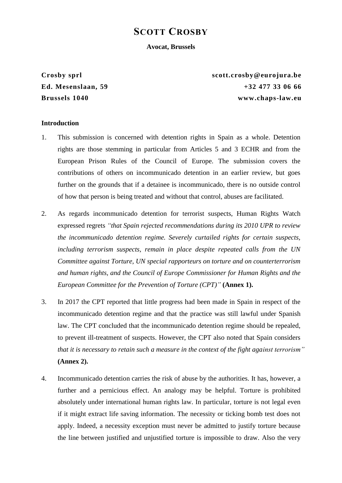# **SCOTT CROSBY**

#### **Avocat, Brussels**

**Crosby sprl scott.crosby@eurojura.be Ed. Mesenslaan, 59 +32 477 33 06 66 Brussels 1040 www.chaps-law.eu**

#### **Introduction**

- 1. This submission is concerned with detention rights in Spain as a whole. Detention rights are those stemming in particular from Articles 5 and 3 ECHR and from the European Prison Rules of the Council of Europe. The submission covers the contributions of others on incommunicado detention in an earlier review, but goes further on the grounds that if a detainee is incommunicado, there is no outside control of how that person is being treated and without that control, abuses are facilitated.
- 2. As regards incommunicado detention for terrorist suspects, Human Rights Watch expressed regrets *"that Spain rejected recommendations during its 2010 UPR to review the incommunicado detention regime. Severely curtailed rights for certain suspects, including terrorism suspects, remain in place despite repeated calls from the UN Committee against Torture, UN special rapporteurs on torture and on counterterrorism and human rights, and the Council of Europe Commissioner for Human Rights and the European Committee for the Prevention of Torture (CPT)"* **(Annex 1).**
- 3. In 2017 the CPT reported that little progress had been made in Spain in respect of the incommunicado detention regime and that the practice was still lawful under Spanish law. The CPT concluded that the incommunicado detention regime should be repealed, to prevent ill-treatment of suspects. However, the CPT also noted that Spain considers *that it is necessary to retain such a measure in the context of the fight against terrorism"*  **(Annex 2).**
- 4. Incommunicado detention carries the risk of abuse by the authorities. It has, however, a further and a pernicious effect. An analogy may be helpful. Torture is prohibited absolutely under international human rights law. In particular, torture is not legal even if it might extract life saving information. The necessity or ticking bomb test does not apply. Indeed, a necessity exception must never be admitted to justify torture because the line between justified and unjustified torture is impossible to draw. Also the very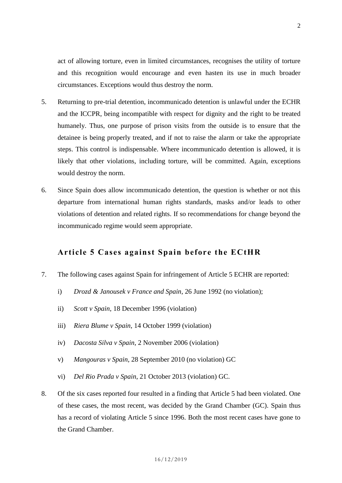act of allowing torture, even in limited circumstances, recognises the utility of torture and this recognition would encourage and even hasten its use in much broader circumstances. Exceptions would thus destroy the norm.

- 5. Returning to pre-trial detention, incommunicado detention is unlawful under the ECHR and the ICCPR, being incompatible with respect for dignity and the right to be treated humanely. Thus, one purpose of prison visits from the outside is to ensure that the detainee is being properly treated, and if not to raise the alarm or take the appropriate steps. This control is indispensable. Where incommunicado detention is allowed, it is likely that other violations, including torture, will be committed. Again, exceptions would destroy the norm.
- 6. Since Spain does allow incommunicado detention, the question is whether or not this departure from international human rights standards, masks and/or leads to other violations of detention and related rights. If so recommendations for change beyond the incommunicado regime would seem appropriate.

## **Article 5 Cases against Spain before the ECtHR**

- 7. The following cases against Spain for infringement of Article 5 ECHR are reported:
	- i) *Drozd & Janousek v France and Spain*, 26 June 1992 (no violation);
	- ii) *Scott v Spain*, 18 December 1996 (violation)
	- iii) *Riera Blume v Spain*, 14 October 1999 (violation)
	- iv) *Dacosta Silva v Spain*, 2 November 2006 (violation)
	- v) *Mangouras v Spain*, 28 September 2010 (no violation) GC
	- vi) *Del Rio Prada v Spain*, 21 October 2013 (violation) GC.
- 8. Of the six cases reported four resulted in a finding that Article 5 had been violated. One of these cases, the most recent, was decided by the Grand Chamber (GC). Spain thus has a record of violating Article 5 since 1996. Both the most recent cases have gone to the Grand Chamber.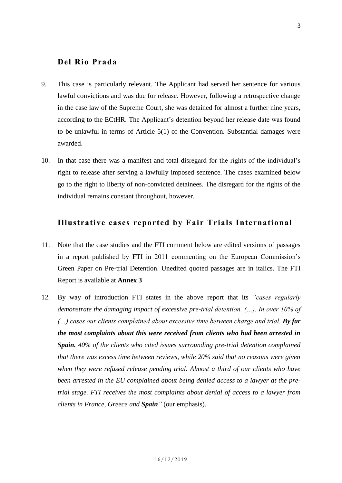## **Del Rio Prada**

- 9. This case is particularly relevant. The Applicant had served her sentence for various lawful convictions and was due for release. However, following a retrospective change in the case law of the Supreme Court, she was detained for almost a further nine years, according to the ECtHR. The Applicant's detention beyond her release date was found to be unlawful in terms of Article 5(1) of the Convention. Substantial damages were awarded.
- 10. In that case there was a manifest and total disregard for the rights of the individual's right to release after serving a lawfully imposed sentence. The cases examined below go to the right to liberty of non-convicted detainees. The disregard for the rights of the individual remains constant throughout, however.

## **Illustrative cases reported by Fair Trials International**

- 11. Note that the case studies and the FTI comment below are edited versions of passages in a report published by FTI in 2011 commenting on the European Commission's Green Paper on Pre-trial Detention. Unedited quoted passages are in italics. The FTI Report is available at **Annex 3**
- 12. By way of introduction FTI states in the above report that its *"cases regularly demonstrate the damaging impact of excessive pre-trial detention. (…). In over 10% of (...)* cases our clients complained about excessive time between charge and trial. **By far** *the most complaints about this were received from clients who had been arrested in Spain. 40% of the clients who cited issues surrounding pre-trial detention complained that there was excess time between reviews, while 20% said that no reasons were given when they were refused release pending trial. Almost a third of our clients who have been arrested in the EU complained about being denied access to a lawyer at the pretrial stage. FTI receives the most complaints about denial of access to a lawyer from clients in France, Greece and Spain"* (our emphasis).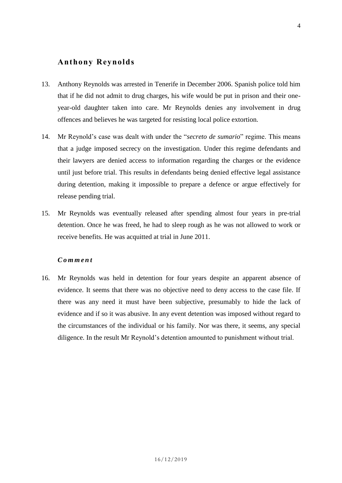# **Anthony Reynolds**

- 13. Anthony Reynolds was arrested in Tenerife in December 2006. Spanish police told him that if he did not admit to drug charges, his wife would be put in prison and their oneyear-old daughter taken into care. Mr Reynolds denies any involvement in drug offences and believes he was targeted for resisting local police extortion.
- 14. Mr Reynold's case was dealt with under the "*secreto de sumario*" regime. This means that a judge imposed secrecy on the investigation. Under this regime defendants and their lawyers are denied access to information regarding the charges or the evidence until just before trial. This results in defendants being denied effective legal assistance during detention, making it impossible to prepare a defence or argue effectively for release pending trial.
- 15. Mr Reynolds was eventually released after spending almost four years in pre-trial detention. Once he was freed, he had to sleep rough as he was not allowed to work or receive benefits. He was acquitted at trial in June 2011.

#### *C o m m e n t*

16. Mr Reynolds was held in detention for four years despite an apparent absence of evidence. It seems that there was no objective need to deny access to the case file. If there was any need it must have been subjective, presumably to hide the lack of evidence and if so it was abusive. In any event detention was imposed without regard to the circumstances of the individual or his family. Nor was there, it seems, any special diligence. In the result Mr Reynold's detention amounted to punishment without trial.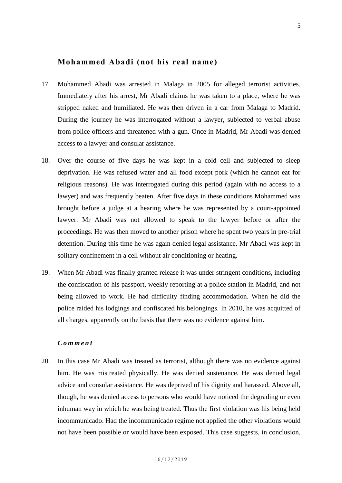### **Mohammed Abadi (not his real name)**

- 17. Mohammed Abadi was arrested in Malaga in 2005 for alleged terrorist activities. Immediately after his arrest, Mr Abadi claims he was taken to a place, where he was stripped naked and humiliated. He was then driven in a car from Malaga to Madrid. During the journey he was interrogated without a lawyer, subjected to verbal abuse from police officers and threatened with a gun. Once in Madrid, Mr Abadi was denied access to a lawyer and consular assistance.
- 18. Over the course of five days he was kept in a cold cell and subjected to sleep deprivation. He was refused water and all food except pork (which he cannot eat for religious reasons). He was interrogated during this period (again with no access to a lawyer) and was frequently beaten. After five days in these conditions Mohammed was brought before a judge at a hearing where he was represented by a court-appointed lawyer. Mr Abadi was not allowed to speak to the lawyer before or after the proceedings. He was then moved to another prison where he spent two years in pre-trial detention. During this time he was again denied legal assistance. Mr Abadi was kept in solitary confinement in a cell without air conditioning or heating.
- 19. When Mr Abadi was finally granted release it was under stringent conditions, including the confiscation of his passport, weekly reporting at a police station in Madrid, and not being allowed to work. He had difficulty finding accommodation. When he did the police raided his lodgings and confiscated his belongings. In 2010, he was acquitted of all charges, apparently on the basis that there was no evidence against him.

#### *C o m m e n t*

20. In this case Mr Abadi was treated as terrorist, although there was no evidence against him. He was mistreated physically. He was denied sustenance. He was denied legal advice and consular assistance. He was deprived of his dignity and harassed. Above all, though, he was denied access to persons who would have noticed the degrading or even inhuman way in which he was being treated. Thus the first violation was his being held incommunicado. Had the incommunicado regime not applied the other violations would not have been possible or would have been exposed. This case suggests, in conclusion,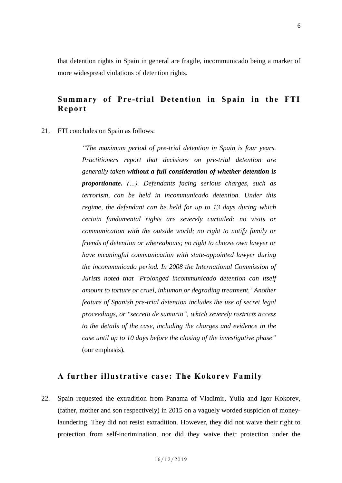that detention rights in Spain in general are fragile, incommunicado being a marker of more widespread violations of detention rights.

# **Summary of Pre -trial Detention in Spain in the FTI Report**

#### 21. FTI concludes on Spain as follows:

*"The maximum period of pre-trial detention in Spain is four years. Practitioners report that decisions on pre-trial detention are generally taken without a full consideration of whether detention is proportionate. (…). Defendants facing serious charges, such as terrorism, can be held in incommunicado detention. Under this regime, the defendant can be held for up to 13 days during which certain fundamental rights are severely curtailed: no visits or communication with the outside world; no right to notify family or friends of detention or whereabouts; no right to choose own lawyer or have meaningful communication with state-appointed lawyer during the incommunicado period. In 2008 the International Commission of Jurists noted that 'Prolonged incommunicado detention can itself amount to torture or cruel, inhuman or degrading treatment.' Another feature of Spanish pre-trial detention includes the use of secret legal proceedings, or "secreto de sumario", which severely restricts access to the details of the case, including the charges and evidence in the case until up to 10 days before the closing of the investigative phase"* (our emphasis)*.*

### **A further illustrative case : The Kokorev Family**

22. Spain requested the extradition from Panama of Vladimir, Yulia and Igor Kokorev, (father, mother and son respectively) in 2015 on a vaguely worded suspicion of moneylaundering. They did not resist extradition. However, they did not waive their right to protection from self-incrimination, nor did they waive their protection under the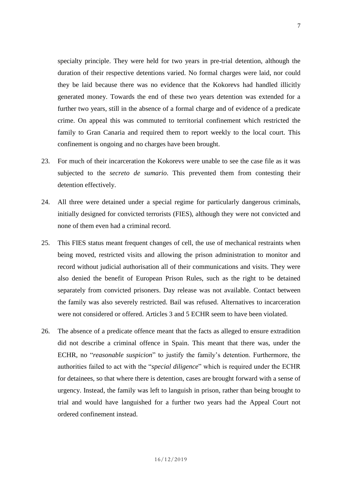specialty principle. They were held for two years in pre-trial detention, although the duration of their respective detentions varied. No formal charges were laid, nor could they be laid because there was no evidence that the Kokorevs had handled illicitly generated money. Towards the end of these two years detention was extended for a further two years, still in the absence of a formal charge and of evidence of a predicate crime. On appeal this was commuted to territorial confinement which restricted the family to Gran Canaria and required them to report weekly to the local court. This confinement is ongoing and no charges have been brought.

- 23. For much of their incarceration the Kokorevs were unable to see the case file as it was subjected to the *secreto de sumario*. This prevented them from contesting their detention effectively.
- 24. All three were detained under a special regime for particularly dangerous criminals, initially designed for convicted terrorists (FIES), although they were not convicted and none of them even had a criminal record.
- 25. This FIES status meant frequent changes of cell, the use of mechanical restraints when being moved, restricted visits and allowing the prison administration to monitor and record without judicial authorisation all of their communications and visits. They were also denied the benefit of European Prison Rules, such as the right to be detained separately from convicted prisoners. Day release was not available. Contact between the family was also severely restricted. Bail was refused. Alternatives to incarceration were not considered or offered. Articles 3 and 5 ECHR seem to have been violated.
- 26. The absence of a predicate offence meant that the facts as alleged to ensure extradition did not describe a criminal offence in Spain. This meant that there was, under the ECHR, no "*reasonable suspicion*" to justify the family's detention. Furthermore, the authorities failed to act with the "*special diligence*" which is required under the ECHR for detainees, so that where there is detention, cases are brought forward with a sense of urgency. Instead, the family was left to languish in prison, rather than being brought to trial and would have languished for a further two years had the Appeal Court not ordered confinement instead.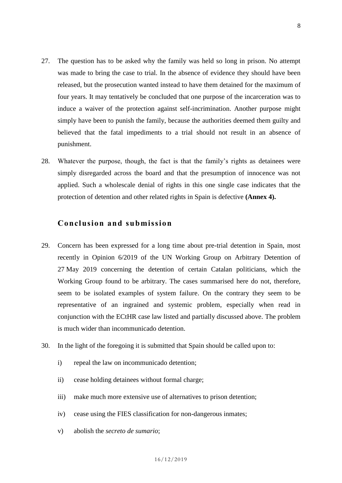- 27. The question has to be asked why the family was held so long in prison. No attempt was made to bring the case to trial. In the absence of evidence they should have been released, but the prosecution wanted instead to have them detained for the maximum of four years. It may tentatively be concluded that one purpose of the incarceration was to induce a waiver of the protection against self-incrimination. Another purpose might simply have been to punish the family, because the authorities deemed them guilty and believed that the fatal impediments to a trial should not result in an absence of punishment.
- 28. Whatever the purpose, though, the fact is that the family's rights as detainees were simply disregarded across the board and that the presumption of innocence was not applied. Such a wholescale denial of rights in this one single case indicates that the protection of detention and other related rights in Spain is defective **(Annex 4).**

# **Conclusion and submission**

- 29. Concern has been expressed for a long time about pre-trial detention in Spain, most recently in Opinion 6/2019 of the UN Working Group on Arbitrary Detention of 27 May 2019 concerning the detention of certain Catalan politicians, which the Working Group found to be arbitrary. The cases summarised here do not, therefore, seem to be isolated examples of system failure. On the contrary they seem to be representative of an ingrained and systemic problem, especially when read in conjunction with the ECtHR case law listed and partially discussed above. The problem is much wider than incommunicado detention.
- 30. In the light of the foregoing it is submitted that Spain should be called upon to:
	- i) repeal the law on incommunicado detention;
	- ii) cease holding detainees without formal charge;
	- iii) make much more extensive use of alternatives to prison detention;
	- iv) cease using the FIES classification for non-dangerous inmates;
	- v) abolish the *secreto de sumario*;